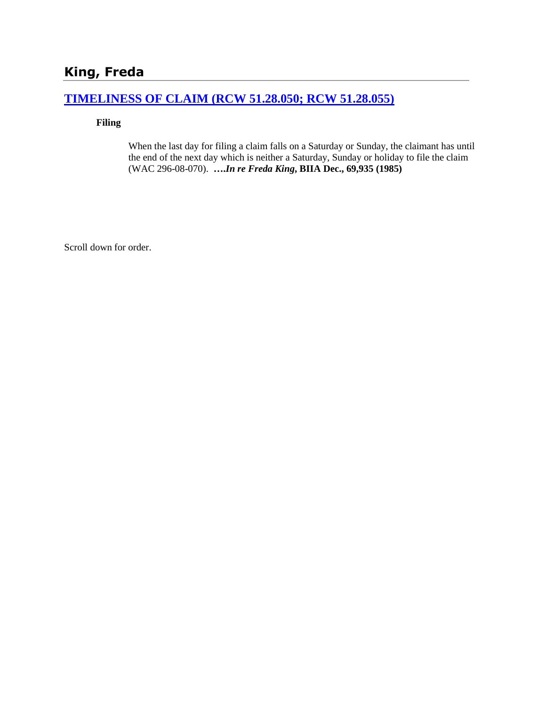# **King, Freda**

# **[TIMELINESS OF CLAIM \(RCW 51.28.050; RCW 51.28.055\)](http://www.biia.wa.gov/SDSubjectIndex.html#TIMELINESS_OF_CLAIM)**

**Filing**

When the last day for filing a claim falls on a Saturday or Sunday, the claimant has until the end of the next day which is neither a Saturday, Sunday or holiday to file the claim (WAC 296-08-070). **….***In re Freda King***, BIIA Dec., 69,935 (1985)** 

Scroll down for order.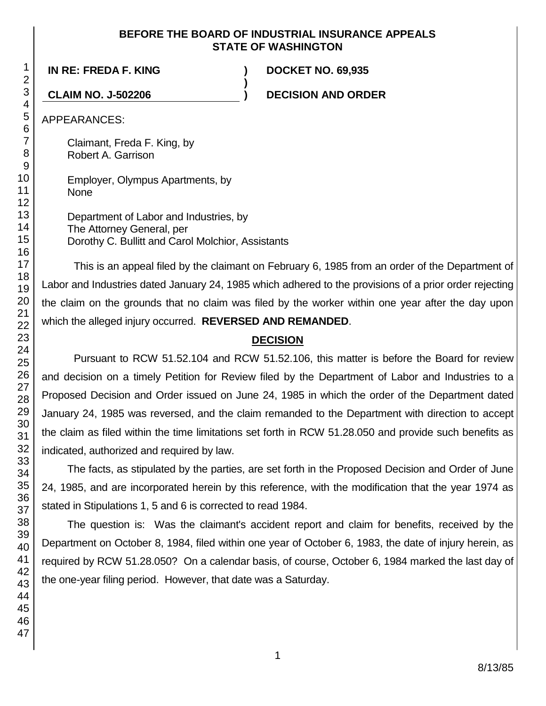### **BEFORE THE BOARD OF INDUSTRIAL INSURANCE APPEALS STATE OF WASHINGTON**

**)**

**IN RE: FREDA F. KING ) DOCKET NO. 69,935**

**CLAIM NO. J-502206 ) DECISION AND ORDER**

APPEARANCES:

Claimant, Freda F. King, by Robert A. Garrison

Employer, Olympus Apartments, by None

Department of Labor and Industries, by The Attorney General, per Dorothy C. Bullitt and Carol Molchior, Assistants

This is an appeal filed by the claimant on February 6, 1985 from an order of the Department of Labor and Industries dated January 24, 1985 which adhered to the provisions of a prior order rejecting the claim on the grounds that no claim was filed by the worker within one year after the day upon which the alleged injury occurred. **REVERSED AND REMANDED**.

# **DECISION**

Pursuant to RCW 51.52.104 and RCW 51.52.106, this matter is before the Board for review and decision on a timely Petition for Review filed by the Department of Labor and Industries to a Proposed Decision and Order issued on June 24, 1985 in which the order of the Department dated January 24, 1985 was reversed, and the claim remanded to the Department with direction to accept the claim as filed within the time limitations set forth in RCW 51.28.050 and provide such benefits as indicated, authorized and required by law.

The facts, as stipulated by the parties, are set forth in the Proposed Decision and Order of June 24, 1985, and are incorporated herein by this reference, with the modification that the year 1974 as stated in Stipulations 1, 5 and 6 is corrected to read 1984.

The question is: Was the claimant's accident report and claim for benefits, received by the Department on October 8, 1984, filed within one year of October 6, 1983, the date of injury herein, as required by RCW 51.28.050? On a calendar basis, of course, October 6, 1984 marked the last day of the one-year filing period. However, that date was a Saturday.